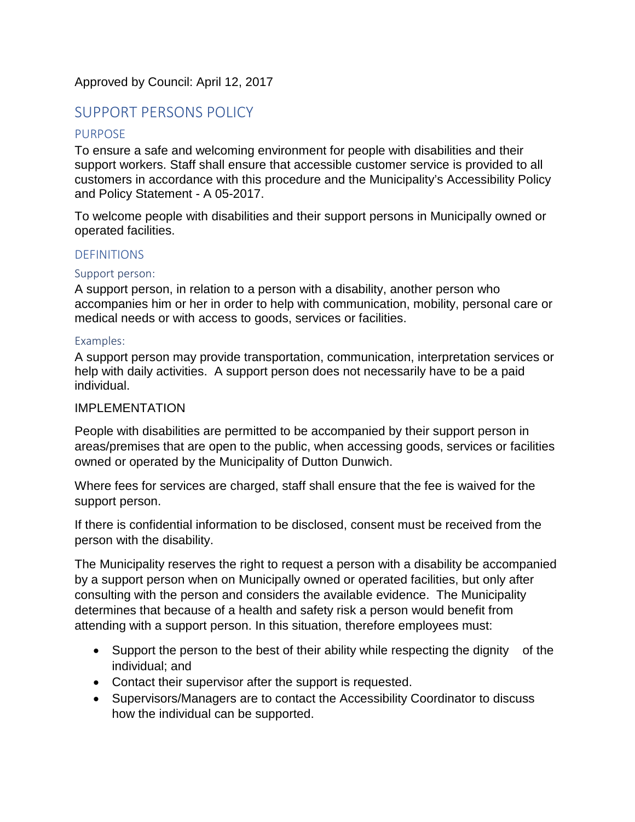## Approved by Council: April 12, 2017

# SUPPORT PERSONS POLICY

### PURPOSE

To ensure a safe and welcoming environment for people with disabilities and their support workers. Staff shall ensure that accessible customer service is provided to all customers in accordance with this procedure and the Municipality's Accessibility Policy and Policy Statement - A 05-2017.

To welcome people with disabilities and their support persons in Municipally owned or operated facilities.

#### **DEFINITIONS**

#### Support person:

A support person, in relation to a person with a disability, another person who accompanies him or her in order to help with communication, mobility, personal care or medical needs or with access to goods, services or facilities.

#### Examples:

A support person may provide transportation, communication, interpretation services or help with daily activities. A support person does not necessarily have to be a paid individual.

#### IMPLEMENTATION

People with disabilities are permitted to be accompanied by their support person in areas/premises that are open to the public, when accessing goods, services or facilities owned or operated by the Municipality of Dutton Dunwich.

Where fees for services are charged, staff shall ensure that the fee is waived for the support person.

If there is confidential information to be disclosed, consent must be received from the person with the disability.

The Municipality reserves the right to request a person with a disability be accompanied by a support person when on Municipally owned or operated facilities, but only after consulting with the person and considers the available evidence. The Municipality determines that because of a health and safety risk a person would benefit from attending with a support person. In this situation, therefore employees must:

- Support the person to the best of their ability while respecting the dignity of the individual; and
- Contact their supervisor after the support is requested.
- Supervisors/Managers are to contact the Accessibility Coordinator to discuss how the individual can be supported.